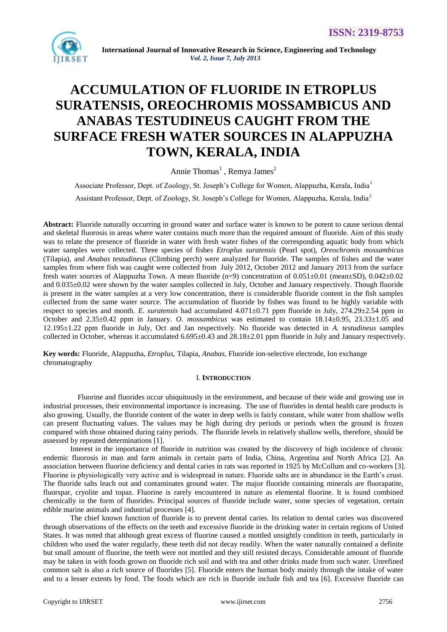

# **ACCUMULATION OF FLUORIDE IN ETROPLUS SURATENSIS, OREOCHROMIS MOSSAMBICUS AND ANABAS TESTUDINEUS CAUGHT FROM THE SURFACE FRESH WATER SOURCES IN ALAPPUZHA TOWN, KERALA, INDIA**

Annie Thomas<sup>1</sup>, Remya James<sup>2</sup>

Associate Professor, Dept. of Zoology, St. Joseph"s College for Women, Alappuzha, Kerala, India<sup>1</sup> Assistant Professor, Dept. of Zoology, St. Joseph"s College for Women, Alappuzha, Kerala, India<sup>2</sup>

**Abstract:** Fluoride naturally occurring in ground water and surface water is known to be potent to cause serious dental and skeletal fluorosis in areas where water contains much more than the required amount of fluoride. Aim of this study was to relate the presence of fluoride in water with fresh water fishes of the corresponding aquatic body from which water samples were collected. Three species of fishes *Etroplus suratensis* (Pearl spot), *Oreochromis mossambicus*  (Tilapia), and *Anabas testudineus* (Climbing perch) were analyzed for fluoride. The samples of fishes and the water samples from where fish was caught were collected from July 2012, October 2012 and January 2013 from the surface fresh water sources of Alappuzha Town. A mean fluoride (n=9) concentration of 0.051±0.01 (mean±SD), 0.042±0.02 and 0.035±0.02 were shown by the water samples collected in July, October and January respectively. Though fluoride is present in the water samples at a very low concentration, there is considerable fluoride content in the fish samples collected from the same water source. The accumulation of fluoride by fishes was found to be highly variable with respect to species and month. *E. suratensis* had accumulated  $4.071\pm0.71$  ppm fluoride in July,  $274.29\pm2.54$  ppm in October and 2.35±0.42 ppm in January. *O. mossambicus* was estimated to contain 18.14±0.95, 23.33±1.05 and 12.195±1.22 ppm fluoride in July, Oct and Jan respectively. No fluoride was detected in *A. testudineus* samples collected in October, whereas it accumulated  $6.695\pm0.43$  and  $28.18\pm2.01$  ppm fluoride in July and January respectively.

**Key words:** Fluoride, Alappuzha, *Etroplus*, Tilapia, *Anabas,* Fluoride ion-selective electrode, Ion exchange chromatography

#### I. **INTRODUCTION**

Fluorine and fluorides occur ubiquitously in the environment, and because of their wide and growing use in industrial processes, their environmental importance is increasing. The use of fluorides in dental health care products is also growing. Usually, the fluoride content of the water in deep wells is fairly constant, while water from shallow wells can present fluctuating values. The values may be high during dry periods or periods when the ground is frozen compared with those obtained during rainy periods. The fluoride levels in relatively shallow wells, therefore, should be assessed by repeated determinations [1].

Interest in the importance of fluoride in nutrition was created by the discovery of high incidence of chronic endemic fluorosis in man and farm animals in certain parts of India, China, Argentina and North Africa [2]. An association between fluorine deficiency and dental caries in rats was reported in 1925 by McCollum and co-workers [3]. Fluorine is physiologically very active and is widespread in nature. Fluoride salts are in abundance in the Earth's crust. The fluoride salts leach out and contaminates ground water. The major fluoride containing minerals are fluorapatite, fluorspar, cryolite and topaz. Fluorine is rarely encountered in nature as elemental fluorine. It is found combined chemically in the form of fluorides. Principal sources of fluoride include water, some species of vegetation, certain edible marine animals and industrial processes [4].

The chief known function of fluoride is to prevent dental caries. Its relation to dental caries was discovered through observations of the effects on the teeth and excessive fluoride in the drinking water in certain regions of United States. It was noted that although great excess of fluorine caused a mottled unsightly condition in teeth, particularly in children who used the water regularly, these teeth did not decay readily. When the water naturally contained a definite but small amount of fluorine, the teeth were not mottled and they still resisted decays. Considerable amount of fluoride may be taken in with foods grown on fluoride rich soil and with tea and other drinks made from such water. Unrefined common salt is also a rich source of fluorides [5]. Fluoride enters the human body mainly through the intake of water and to a lesser extents by food. The foods which are rich in fluoride include fish and tea [6]. Excessive fluoride can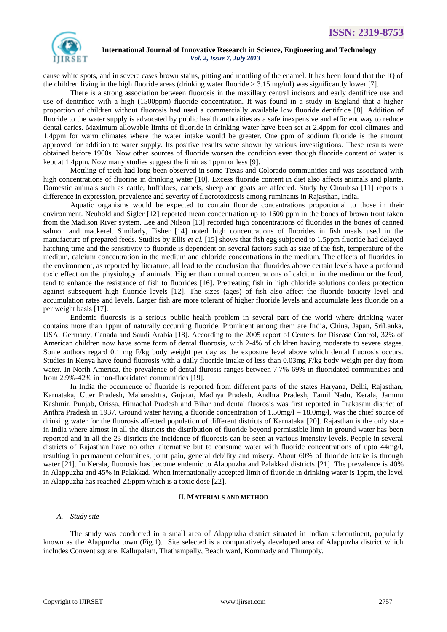

cause white spots, and in severe cases brown stains, pitting and mottling of the enamel. It has been found that the IQ of the children living in the high fluoride areas (drinking water fluoride > 3.15 mg/ml) was significantly lower [7].

There is a strong association between fluorosis in the maxillary central incisors and early dentifrice use and use of dentrifice with a high (1500ppm) fluoride concentration. It was found in a study in England that a higher proportion of children without fluorosis had used a commercially available low fluoride dentifrice [8]. Addition of fluoride to the water supply is advocated by public health authorities as a safe inexpensive and efficient way to reduce dental caries. Maximum allowable limits of fluoride in drinking water have been set at 2.4ppm for cool climates and 1.4ppm for warm climates where the water intake would be greater. One ppm of sodium fluoride is the amount approved for addition to water supply. Its positive results were shown by various investigations. These results were obtained before 1960s. Now other sources of fluoride worsen the condition even though fluoride content of water is kept at 1.4ppm. Now many studies suggest the limit as 1ppm or less [9].

Mottling of teeth had long been observed in some Texas and Colorado communities and was associated with high concentrations of fluorine in drinking water [10]. Excess fluoride content in diet also affects animals and plants. Domestic animals such as cattle, buffaloes, camels, sheep and goats are affected. Study by Choubisa [11] reports a difference in expression, prevalence and severity of fluorotoxicosis among ruminants in Rajasthan, India.

Aquatic organisms would be expected to contain fluoride concentrations proportional to those in their environment. Neuhold and Sigler [12] reported mean concentration up to 1600 ppm in the bones of brown trout taken from the Madison River system. Lee and Nilson [13] recorded high concentrations of fluorides in the bones of canned salmon and mackerel. Similarly, Fisher [14] noted high concentrations of fluorides in fish meals used in the manufacture of prepared feeds. Studies by Ellis *et al.* [15] shows that fish egg subjected to 1.5ppm fluoride had delayed hatching time and the sensitivity to fluoride is dependent on several factors such as size of the fish, temperature of the medium, calcium concentration in the medium and chloride concentrations in the medium. The effects of fluorides in the environment, as reported by literature, all lead to the conclusion that fluorides above certain levels have a profound toxic effect on the physiology of animals. Higher than normal concentrations of calcium in the medium or the food, tend to enhance the resistance of fish to fluorides [16]. Pretreating fish in high chloride solutions confers protection against subsequent high fluoride levels [12]. The sizes (ages) of fish also affect the fluoride toxicity level and accumulation rates and levels. Larger fish are more tolerant of higher fluoride levels and accumulate less fluoride on a per weight basis [17].

Endemic fluorosis is a serious public health problem in several part of the world where drinking water contains more than 1ppm of naturally occurring fluoride. Prominent among them are India, China, Japan, SriLanka, USA, Germany, Canada and Saudi Arabia [18]. According to the 2005 report of Centers for Disease Control, 32% of American children now have some form of dental fluorosis, with 2-4% of children having moderate to severe stages. Some authors regard 0.1 mg F/kg body weight per day as the exposure level above which dental fluorosis occurs. Studies in Kenya have found fluorosis with a daily fluoride intake of less than 0.03mg F/kg body weight per day from water. In North America, the prevalence of dental flurosis ranges between 7.7%-69% in fluoridated communities and from 2.9%-42% in non-fluoridated communities [19].

In India the occurrence of fluoride is reported from different parts of the states Haryana, Delhi, Rajasthan, Karnataka, Utter Pradesh, Maharashtra, Gujarat, Madhya Pradesh, Andhra Pradesh, Tamil Nadu, Kerala, Jammu Kashmir, Punjab, Orissa, Himachal Pradesh and Bihar and dental fluorosis was first reported in Prakasam district of Anthra Pradesh in 1937. Ground water having a fluoride concentration of 1.50mg/l – 18.0mg/l, was the chief source of drinking water for the fluorosis affected population of different districts of Karnataka [20]. Rajasthan is the only state in India where almost in all the districts the distribution of fluoride beyond permissible limit in ground water has been reported and in all the 23 districts the incidence of fluorosis can be seen at various intensity levels. People in several districts of Rajasthan have no other alternative but to consume water with fluoride concentrations of upto 44mg/l, resulting in permanent deformities, joint pain, general debility and misery. About 60% of fluoride intake is through water [21]. In Kerala, fluorosis has become endemic to Alappuzha and Palakkad districts [21]. The prevalence is 40% in Alappuzha and 45% in Palakkad. When internationally accepted limit of fluoride in drinking water is 1ppm, the level in Alappuzha has reached 2.5ppm which is a toxic dose [22].

# II. **MATERIALS AND METHOD**

## *A. Study site*

The study was conducted in a small area of Alappuzha district situated in Indian subcontinent, popularly known as the Alappuzha town (Fig.1). Site selected is a comparatively developed area of Alappuzha district which includes Convent square, Kallupalam, Thathampally, Beach ward, Kommady and Thumpoly.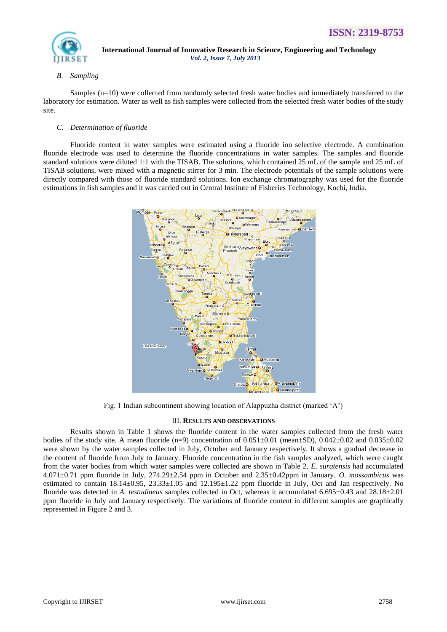

# *B. Sampling*

Samples (n=10) were collected from randomly selected fresh water bodies and immediately transferred to the laboratory for estimation. Water as well as fish samples were collected from the selected fresh water bodies of the study site.

# *C. Determination of fluoride*

Fluoride content in water samples were estimated using a fluoride ion selective electrode. A combination fluoride electrode was used to determine the fluoride concentrations in water samples. The samples and fluoride standard solutions were diluted 1:1 with the TISAB. The solutions, which contained 25 mL of the sample and 25 mL of TISAB solutions, were mixed with a magnetic stirrer for 3 min. The electrode potentials of the sample solutions were directly compared with those of fluoride standard solutions. Ion exchange chromatography was used for the fluoride estimations in fish samples and it was carried out in Central Institute of Fisheries Technology, Kochi, India.



Fig. 1 Indian subcontinent showing location of Alappuzha district (marked "A")

# III. **RESULTS AND OBSERVATIONS**

Results shown in Table 1 shows the fluoride content in the water samples collected from the fresh water bodies of the study site. A mean fluoride  $(n=9)$  concentration of  $0.051\pm0.01$  (mean $\pm$ SD),  $0.042\pm0.02$  and  $0.035\pm0.02$ were shown by the water samples collected in July, October and January respectively. It shows a gradual decrease in the content of fluoride from July to January. Fluoride concentration in the fish samples analyzed, which were caught from the water bodies from which water samples were collected are shown in Table 2. *E. suratensis* had accumulated 4.071±0.71 ppm fluoride in July, 274.29±2.54 ppm in October and 2.35±0.42ppm in January. *O. mossambicus* was estimated to contain 18.14±0.95, 23.33±1.05 and 12.195±1.22 ppm fluoride in July, Oct and Jan respectively. No fluoride was detected in *A. testudineus* samples collected in Oct, whereas it accumulated 6.695±0.43 and 28.18±2.01 ppm fluoride in July and January respectively. The variations of fluoride content in different samples are graphically represented in Figure 2 and 3.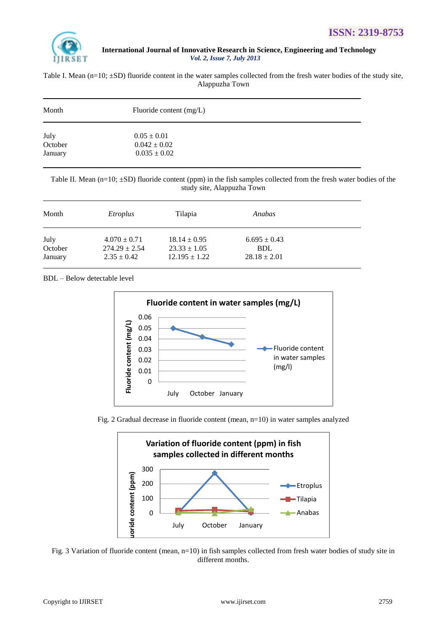

Table I. Mean  $(n=10; \pm SD)$  fluoride content in the water samples collected from the fresh water bodies of the study site, Alappuzha Town

| Month   | Fluoride content $(mg/L)$ |  |  |
|---------|---------------------------|--|--|
| July    | $0.05 \pm 0.01$           |  |  |
| October | $0.042 \pm 0.02$          |  |  |
| January | $0.035 \pm 0.02$          |  |  |

Table II. Mean (n=10;  $\pm$ SD) fluoride content (ppm) in the fish samples collected from the fresh water bodies of the study site, Alappuzha Town

| Month   | Etroplus          | Tilapia           | Anabas           |  |
|---------|-------------------|-------------------|------------------|--|
| July    | $4.070 \pm 0.71$  | $18.14 \pm 0.95$  | $6.695 \pm 0.43$ |  |
| October | $274.29 \pm 2.54$ | $23.33 \pm 1.05$  | <b>BDL</b>       |  |
| January | $2.35 \pm 0.42$   | $12.195 \pm 1.22$ | $28.18 \pm 2.01$ |  |

BDL – Below detectable level







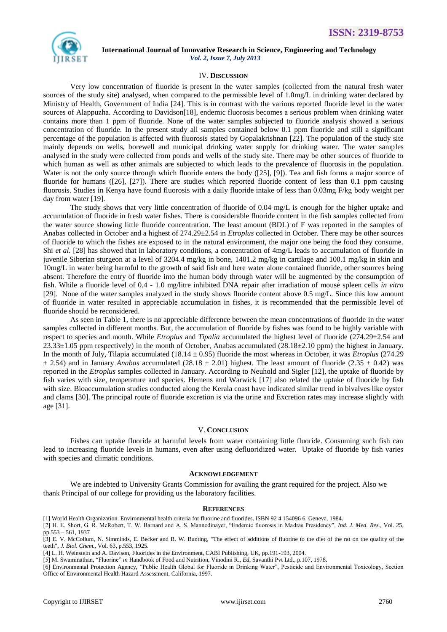

#### IV. **DISCUSSION**

Very low concentration of fluoride is present in the water samples (collected from the natural fresh water sources of the study site) analysed, when compared to the permissible level of 1.0mg/L in drinking water declared by Ministry of Health, Government of India [24]. This is in contrast with the various reported fluoride level in the water sources of Alappuzha. According to Davidson[18], endemic fluorosis becomes a serious problem when drinking water contains more than 1 ppm of fluoride. None of the water samples subjected to fluoride analysis showed a serious concentration of fluoride. In the present study all samples contained below 0.1 ppm fluoride and still a significant percentage of the population is affected with fluorosis stated by Gopalakrishnan [22]. The population of the study site mainly depends on wells, borewell and municipal drinking water supply for drinking water. The water samples analysed in the study were collected from ponds and wells of the study site. There may be other sources of fluoride to which human as well as other animals are subjected to which leads to the prevalence of fluorosis in the population. Water is not the only source through which fluoride enters the body ([25], [9]). Tea and fish forms a major source of fluoride for humans ([26], [27]). There are studies which reported fluoride content of less than 0.1 ppm causing fluorosis. Studies in Kenya have found fluorosis with a daily fluoride intake of less than 0.03mg F/kg body weight per day from water [19].

The study shows that very little concentration of fluoride of 0.04 mg/L is enough for the higher uptake and accumulation of fluoride in fresh water fishes. There is considerable fluoride content in the fish samples collected from the water source showing little fluoride concentration. The least amount (BDL) of F was reported in the samples of Anabas collected in October and a highest of 274.29±2.54 in *Etroplus* collected in October. There may be other sources of fluoride to which the fishes are exposed to in the natural environment, the major one being the food they consume. Shi *et al.* [28] has showed that in laboratory conditions, a concentration of 4mg/L leads to accumulation of fluoride in juvenile Siberian sturgeon at a level of 3204.4 mg/kg in bone, 1401.2 mg/kg in cartilage and 100.1 mg/kg in skin and 10mg/L in water being harmful to the growth of said fish and here water alone contained fluoride, other sources being absent. Therefore the entry of fluoride into the human body through water will be augmented by the consumption of fish. While a fluoride level of 0.4 - 1.0 mg/litre inhibited DNA repair after irradiation of mouse spleen cells *in vitro* [29]. None of the water samples analyzed in the study shows fluoride content above 0.5 mg/L. Since this low amount of fluoride in water resulted in appreciable accumulation in fishes, it is recommended that the permissible level of fluoride should be reconsidered.

As seen in Table 1, there is no appreciable difference between the mean concentrations of fluoride in the water samples collected in different months. But, the accumulation of fluoride by fishes was found to be highly variable with respect to species and month. While *Etroplus* and *Tipalia* accumulated the highest level of fluoride (274.29±2.54 and  $23.33\pm1.05$  ppm respectively) in the month of October, Anabas accumulated (28.18 $\pm$ 2.10 ppm) the highest in January. In the month of July, Tilapia accumulated  $(18.14 \pm 0.95)$  fluoride the most whereas in October, it was *Etroplus* (274.29)  $\pm$  2.54) and in January *Anabas* accumulated (28.18  $\pm$  2.01) highest. The least amount of fluoride (2.35  $\pm$  0.42) was reported in the *Etroplus* samples collected in January. According to Neuhold and Sigler [12], the uptake of fluoride by fish varies with size, temperature and species. Hemens and Warwick [17] also related the uptake of fluoride by fish with size. Bioaccumulation studies conducted along the Kerala coast have indicated similar trend in bivalves like oyster and clams [30]. The principal route of fluoride excretion is via the urine and Excretion rates may increase slightly with age [31].

#### V. **CONCLUSION**

Fishes can uptake fluoride at harmful levels from water containing little fluoride. Consuming such fish can lead to increasing fluoride levels in humans, even after using defluoridized water. Uptake of fluoride by fish varies with species and climatic conditions.

### **ACKNOWLEDGEMENT**

We are indebted to University Grants Commission for availing the grant required for the project. Also we thank Principal of our college for providing us the laboratory facilities.

#### **REFERENCES**

- [1] World Health Organization. Environmental health criteria for fluorine and fluorides. ISBN 92 4 154096 6. Geneva, 1984.
- [2] H. E. Short, G. R. McRobert, T. W. Barnard and A. S. Mannodinayer, "Endemic fluorosis in Madras Presidency", *Ind. J. Med. Res.,* Vol. 25, pp.553 – 561, 1937

[3] E. V. McCollum, N. Simminds, E. Becker and R. W. Bunting, "The effect of additions of fluorine to the diet of the rat on the quality of the teeth", *J. Biol. Chem.,* Vol. 63, p.553, 1925.

[5] M. Swaminathan, "Fluorine" *in* Handbook of Food and Nutrition, Vinodini R., *Ed*, Savanthi Pvt Ltd., p.107, 1978.

[6] Environmental Protection Agency, "Public Health Global for Fluoride in Drinking Water", Pesticide and Environmental Toxicology, Section Office of Environmental Health Hazard Assessment, California, 1997.

<sup>[4]</sup> L. H. Weinstein and A. Davison, Fluorides in the Environment, CABI Publishing, UK, pp.191-193, 2004.